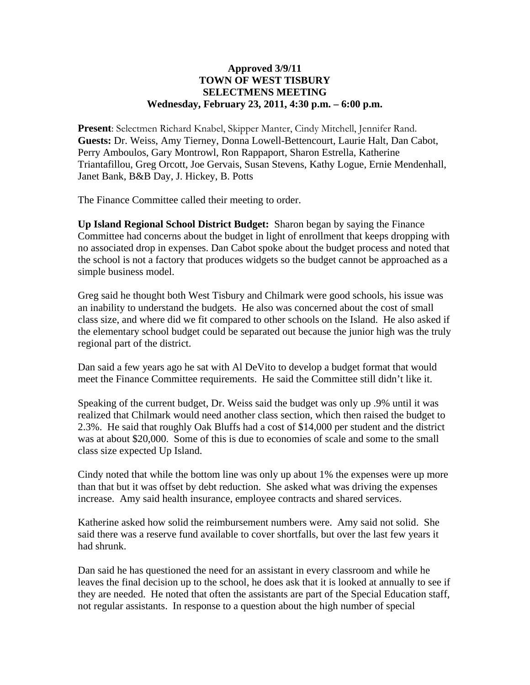## **Approved 3/9/11 TOWN OF WEST TISBURY SELECTMENS MEETING Wednesday, February 23, 2011, 4:30 p.m. – 6:00 p.m.**

**Present**: Selectmen Richard Knabel, Skipper Manter, Cindy Mitchell, Jennifer Rand. **Guests:** Dr. Weiss, Amy Tierney, Donna Lowell-Bettencourt, Laurie Halt, Dan Cabot, Perry Amboulos, Gary Montrowl, Ron Rappaport, Sharon Estrella, Katherine Triantafillou, Greg Orcott, Joe Gervais, Susan Stevens, Kathy Logue, Ernie Mendenhall, Janet Bank, B&B Day, J. Hickey, B. Potts

The Finance Committee called their meeting to order.

**Up Island Regional School District Budget:** Sharon began by saying the Finance Committee had concerns about the budget in light of enrollment that keeps dropping with no associated drop in expenses. Dan Cabot spoke about the budget process and noted that the school is not a factory that produces widgets so the budget cannot be approached as a simple business model.

Greg said he thought both West Tisbury and Chilmark were good schools, his issue was an inability to understand the budgets. He also was concerned about the cost of small class size, and where did we fit compared to other schools on the Island. He also asked if the elementary school budget could be separated out because the junior high was the truly regional part of the district.

Dan said a few years ago he sat with Al DeVito to develop a budget format that would meet the Finance Committee requirements. He said the Committee still didn't like it.

Speaking of the current budget, Dr. Weiss said the budget was only up .9% until it was realized that Chilmark would need another class section, which then raised the budget to 2.3%. He said that roughly Oak Bluffs had a cost of \$14,000 per student and the district was at about \$20,000. Some of this is due to economies of scale and some to the small class size expected Up Island.

Cindy noted that while the bottom line was only up about 1% the expenses were up more than that but it was offset by debt reduction. She asked what was driving the expenses increase. Amy said health insurance, employee contracts and shared services.

Katherine asked how solid the reimbursement numbers were. Amy said not solid. She said there was a reserve fund available to cover shortfalls, but over the last few years it had shrunk.

Dan said he has questioned the need for an assistant in every classroom and while he leaves the final decision up to the school, he does ask that it is looked at annually to see if they are needed. He noted that often the assistants are part of the Special Education staff, not regular assistants. In response to a question about the high number of special